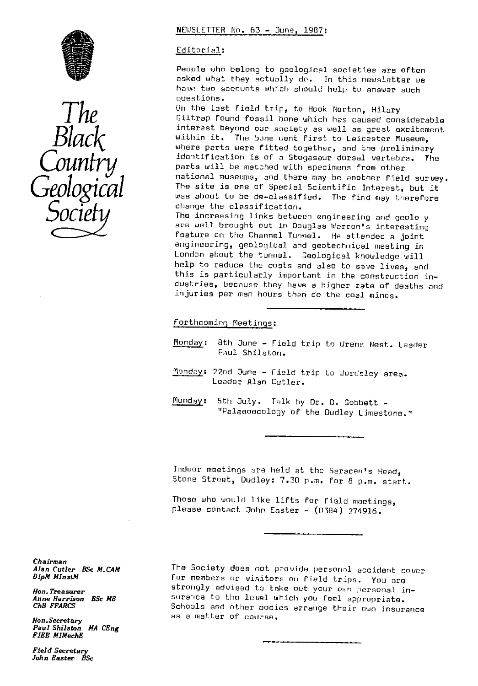



## NEWSLETTER No. 63 - June, 1987:

## Editorial :

People who belong to geological societies are often asked what they actually do. In this newsletter we have two accounts which should help to answer such questions.

On the last field trip, to Hook Norton, Hilary Giltrep found fossil bone which has caused considerable interest beyond our society as well as great excitement within it. The bone went first to Leicester Museum, where parts were fitted together, and the preliminary identification is of a Stegasaur dorsal vertebra. The parts will be matched with specimens from other national museums, and there may be another field survey.<br>The site is one of Special Scientific Interest, but it was about to be de-classified. The find may therefore change the classification.

The increasing links between engineering and geolo y are well brought out in Douglas Warren's interesting feature on the Channel Tunnel. He attended a joint engineering, geological and geotechnical meeting in London about the tunnel. Geological knowledge will help to reduce the costs and also to save lives, and this is particularly important in the construction industries, because they have a higher rate of deaths and injuries per man hours than do the coal mines.

Forthcoming Meetings:

- Monday : 8th June Field trip to Wrens Nest. Leader Paul Shilston.
- Monday: 22nd June Field trip to Wordsley area. Leader Alan Cutler.
- Monday: 6th July. Talk by Dr. D. Gobbett -"Palasoecology of the Dudley Limestone."

Indoor meetings are held at the Saracen's Head, Stone Street, Dudley: 7.30 p.m. For 8 p.m. start.

Those who would like lifts for field meetings, please contact John Easter - (0384) 274916.

Chairman *Alan Cutler BSc M.CAM DipM MlnstM*

Hon. Treasurer Anne Harrison BSc MB ChB FFARCS

*Hon. Secretary* Paul Shilston *MA* CEng FIEE MIMechE

Field Secretary John Easter BSc The Society does not provide personal accident cover for members or visitors on field trips. You are strongly advised to take out your own personal insurance to the level which you feel appropriate. Schools and othor bodies arrange their own insurance as a matter of course.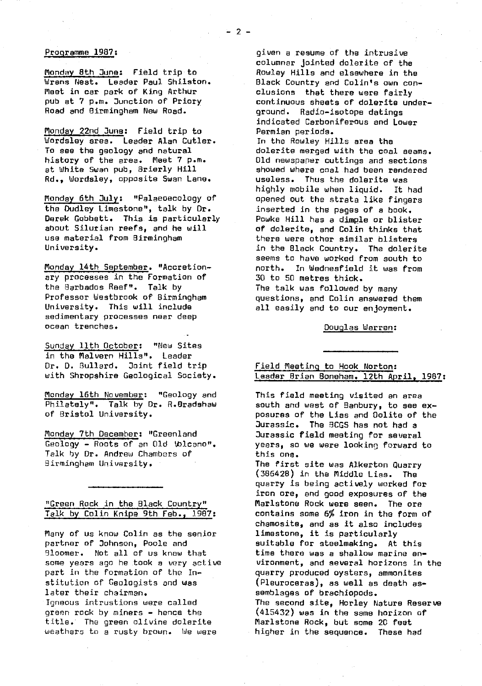#### Programme 1987 :

Monday 8th June: Field trip to Wrens Nest. Leader Paul Shilston. Meet in car park of King Arthur pub at 7 p.m. Junction of Priory Road and Birmingham New Road.

Monday 22nd June: Field trip to Wordsley area. Leader Alan Cutler. To see the geology and natural history of the area. Meet 7 p.m. at White Swan pub, 3rierly Hill Rd., Wordsley, opposite Swan Lane.

Monday 6th July: "Palaeoecology of the Dudley Limestone", talk by Dr. Derek Gobbett. This is particularly about Silurian reefs, and he will use material from Birmingham University.

Monday 14th September. "Accretionary processes in the Formation of the Barbados Reef". Talk by Professor Westbrook of Birmingham University. This will include sedimentary processes near deep ocean trenches.

Sunday 11th October: "New Sites in the Malvern Hills". Leader Dr. D. Bullard. Joint field trip with Shropshire Geological Society.

Monday 16th November: "Geology and Philately". Talk by Dr. R.Bradshaw of Bristol University.

Monday\_ 7th *December :* "Greenland *Geology - Roots* of an Old lblcano". Talk by Dr. Andrew Chambers of Birmingham University.

# "Green Rock in the Black Country" Talk by Colin Knipe 9th Feb., 1907:

Many of us know Colin as the senior partner of Johnson, Poole and Bloomer. Not all of us know that some years ago he took a very active part in the formation of the Institution of Geologists and was later their chairman. Igneous intrustions were called green rock by miners - hence the title. The green olivine dolerite weathers to a rusty brown. We were

given a resume.of the intrusive columnar jointed dolerite of the Rowley Hills and elsewhere in the Black Country and Colin's own conclusions that there were fairly continuous sheets of dolerite underground. Radio-isotope datings indicated Carboniferous and Lower Permian periods. In the Rowley Hills area the dolerite merged with the coal seams. Old newspaper cuttings and sections showed where coal had been rendered useless. Thus the dolerite was<br>highly mobile when liguid. It had

highly mobile when liquid. opened out the strata like fingers inserted in the pages of a book. Powke Hill has a dimple or blister of dolerite, and Colin thinks that there were other similar blisters in the Black Country. *The* dolerite seems to have worked from south to north. In Wednesfield it was from 30 to 50 metres thick.

The talk was followed by many questions, and Colin answered them all easily and to our enjoyment.

Douglas Warren :

# Field Meeting to Hook Norton: Leader Brian Boneham. 12th April, 1987:

This field meeting visited an area south and west of Banbury, to see exposures of the Lies and ©olite of the Jurassic. The 9CGS has not had a Jurassic field meeting for several years, so we were looking forward to this one. The first site was Alkerton Quarry

(386428) in the Middle Lies. The quarry is being actively worked for iron ore, and good exposures of the Marlstone Rock were seen. The ore contains some 6% iron in the form of chamosite, and as it also includes limestone, it is particularly suitable for steelmaking. At this time there was a shallow marine environment, and several horizons in the quarry produced oysters, ammonites (Pleuroceras), as well as death assemblages of brachiopods. The second site, Horley Nature Reserve (415432) was in the same horizon of Marlstone Rock, but some 20 feet higher in the sequence. These had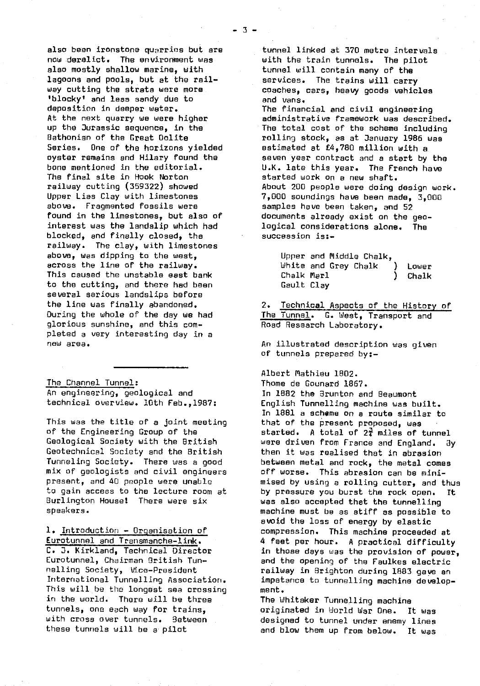also been ironstone quarries but are now derelict. The environment was also mostly shallow marine, with lagoons and pools, but at the railway cutting the strata were more. }blocky' and less sandy due to deposition in deeper water. At the next quarry we were higher up the Jurassic sequence, in the Bethonian of the Great Dolite Series. One of the horizons yielded oyster remains and Hilary found the bone mentioned in the editorial. The final site in Hook Norton railway cutting (359322) showed Upper Liss Clay with limestones above. Fragmented fossils were found in the limestones, but also of interest was the landslip which had blocked, and finally closed, the railway. The clay, with limestones above, was dipping to the west, across the line of the railway. This caused the unstable east bank to the cutting, and there had been several serious landslips before the line was finally abandoned. During the whole of the day we had glorious sunshine, and this completed a very interesting day in a new area.

The Channel Tunnel : An engineering, geological and technical overview. 10th Feb.,1987:

This was the title of a joint meeting of the Engineering Group of the Geological Society with the British Geotechnical Society and the British Tunneling Society. There was a good mix of geologists and civil engineers present, and 40 people were unable to gain access to the lecture room at Burlington House: There were six speakers.

1. Introduction - Organisation of Eurotunnel and Transmanche-link . C. D. Kirkland, Technical Director Eurotunnel, Chairman Dritish Tunnelling Society, Vice-President International Tunnelling Association. This will be the longest sea crossing in the world. There will be three tunnels, one each way for trains, with cross over tunnels. Between these tunnels will be a pilot

tunnel linked at 370 metre intervals with the train tunnels. The pilot tunnel will contain many of the services. The trains will carry coaches, cars, heavy goods vehicles and vans.

The financial and civil engineering administrative framework was described. The total cost of the scheme including rolling stock, as at January 1986 was estimated at £4,780 million with a seven year contract and a start by the U.K. late this year. The French have started work on a new shaft. About 200 people were doing design work. 7,000 soundings have been made, 3,000 samples have been taken, and 52 documents already exist on the geological considerations alone. The succession is:-

|            | Upper and Middle Chalk. |       |
|------------|-------------------------|-------|
|            | White and Grey Chalk    | Lower |
| Chalk Marl |                         | Chalk |
| Gault Clay |                         |       |

2. Technical Aspects of the History of The Tunnel. G. West, Transport and Road Research Laboratory.

An illustrated description was given of tunnels prepared by:-

Albert Mathieu 1802.

Thome de Gounard 1867. In 1882 the Brunton and Beaumont English Tunnelling, machine was built. In 1881 a scheme on a route similar to that of the present proposed, was started. A total of  $2\frac{3}{4}$  miles of tunnel were driven from France and England. 3y then it was realised that in abrasion between metal and rock, the metal comes off worse. This abrasion can be minimised by using a rolling cutter, and thus by pressure you burst the rock open. It was also accepted that the tunnelling machine must be as stiff as possible to avoid the loss of energy by elastic compression. This machine proceeded at 4 feet per hour. A practical difficulty in those days was the provision of power, and the opening of the Faulkes electric railway in Brighton during 1883 gave an impetence to tunnelling machine development.

The Whitaker Tunnelling machine originated in World War One. It was designed to tunnel under enemy lines and blow them up from below. It was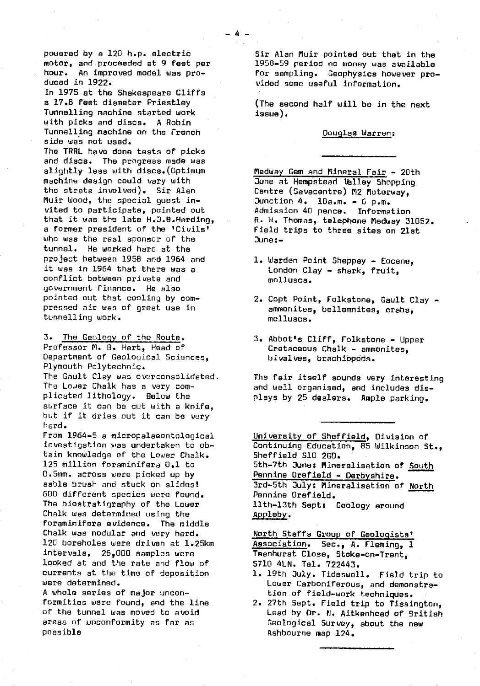powered by a 120 h.p. electric motor, and proceeded at 9 feet per hour. An improved model was produced in 1922.

In 1975 at the Shakespeare Cliffs a 17.8 feet diameter Priestley Tunnelling machine started work *with* picks and discs. A Robin Tunnelling machine on the French side was not used. The *TRRL have* done tests of picks and discs. The progress made was slightly less with discs.(Optimum machine design could vary with the strata involved). Sir Alan Muir Wood, the special guest invited to participate, pointed out that it was the late H.J.B. Harding, a former president of the 'Civils' who was the real sponsor of the tunnel. He worked hard at the project between 1958 and 1964 and it was in 1964 that there was a conflict between private and government finance. He also pointed out that cooling by compressed air was of great use in tunnelling work.

3. The Ceo1cy of the Route.

Professor M. B. Hart, Head of Department of Geological Sciences, Plymouth Polytechnic. The Gault Clay was overconsolidated. The Lower Chalk has a very complicated lithology. Below the surface it can be cut with a knife, but if it dries out it can be very hard.

From 1964-5 a micropalaeontological investigation was undertaken to obtain knowledge of the Lower Chalk. 125 million foraminifera 0.1. to 0.5mm. across were picked up by sable brush and stuck on slides! 600 different species were found. The biostratigraphy of the Lower Chalk was determined using the foraminifera evidence. The middle Chalk was nodular and very hard. 120 boreholes were driven at 1.25km intervals, 26,000 samples were looked at and the rate and flow of currents at the time of deposition were determined.

A whole series of major unconformities were found, and the line of the tunnel was moved to avoid areas of unconformity as far as possible

Sir Alan Muir pointed out that in the 1958-59 period no money was available for sampling. Geophysics however provided some useful information.

(The second half will be in the next issue).

#### Douglas Warren:

Medway Gem and Mineral Fair - 20th June at Hempstead Valley Shopping Centre (Savacentre) M2 Motorway, Junction  $4.$  10a.m. - 6 p.m. Admission 40 pence. Information R. W. Thomas, telephone Medway 31052. Field trips to three sites on 21st June:-

- 1. Warden Point Sheppey Eocene, London Clay - shark, fruit, molluscs.
- 2. Copt Point, Folkstone, Gault Clay ammonites, bellemnites, crabs, molluscs.
- 3. Abbot's Cliff, Folkstone Upper Cretaceous Chalk - ammonites, bivalves, brachiopods.

The fair itself sounds very interesting and well organised, and includes displays by 25 dealers. Ample parking.

University of Sheffield, Division of Continuing Education, 85 Wilkinson St., Sheffield 510 2G0. 5th-7th June:. Mineralisation of South Pennine Orefield - Derbyshire. 3rd-5th July: Mineralisation of North Pennine Orefield. 11th-13th Sept: Geology around Appleby .

North Staffs Group of Geologists' Association. Sec., A. Fleming, 1 Teenhurst Close, Stoke-on-Trent, STil 4LN. Tel. 722443.

- 1. 19th July. Tidesweil. Field trip to Lower Carboniferous, and demonstration of field-work techniques.
- 2. 27th Sept. Field trip to Tissington, Lead by Dr. N. Aitkenhead of 9ritish Geological Survey, about the new Ashbaurne map 124.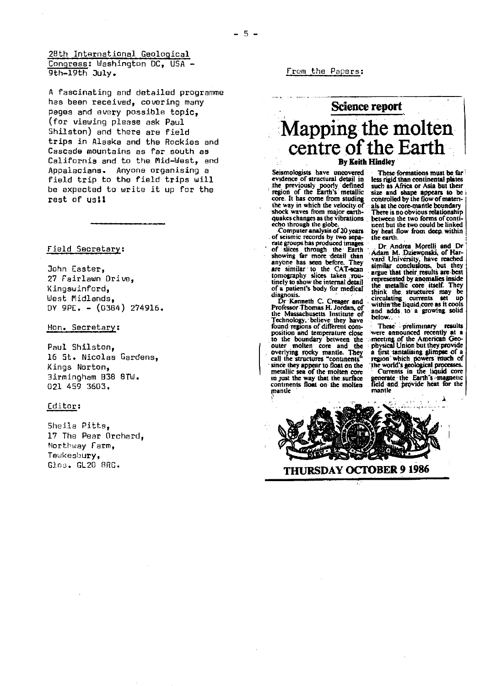A fascinating and detailed programme has been received, covering many *pages and every possible* topic, (for viewing please ask Paul Shilston) and there are field trips in Alaska and the Rockies and Cascade mountains as far south as California and to the Mid-West, and Appalacians. Anyone organising a field trip to the field trips will be expected to write it up for the **rest of usli**

Field Secretary :

John Easter, 27 Fairlawn Drive, Kingswinford, West Midlands, DY 9PE. — (0384) 274916.

Hon. Secretary :

Paul Shilston, 16 St. Nicolas Gardens, Kings Norton, Birmingham 838 STW. 021 459 3603.

# Editor:

Sheila Pitts, 17 The Pear Orchard, Northway Farm, Tewkesbury, Glos. 0L20 ORG.

From the Papers :

# **Science report** Mapping the molter centre of the Earth **By Keith Hindley**

Seismologists have uncovered evidence of structural detail in the previously poorly. defined region of the Earth's metallic core. It has come from studing the way in which the velocity. of shock waves from major earth-quakes changes as the vibrations echo through the globe.

Computer analysis of 20 years of seismic records by two sepa-rate groups has produced images of slices through the Earth showing far more detail than anyone has seen before. They are similar to the CAT-scan tomography slices taken :routinely to show the internal detail of a patient's body for medical'

diagnosis. Dr Kenneth C Creager and Professor Thomas H. Jordan, of the Massachusetts Institute of Technology. believe they have found regions of diffrent com-position and temperature Close to the boundary between the outer molten core and the overlying rocky mantle. They, call the structures "continents' since they appear to float on the. metallic sea of the molten core in Just the way that the. surface continents float on the molten mantle

These-formations must be far less rigid.than continental plates such as Africa or Asia but their size and shape appears to be controlled by the flow of matenals. at the core-mantle boundary There is no obvious relationship between the two forms of conti-nent but the two could be linked by heat flow from deep. within the earth.

Dr Andrea **Mprelli** and Dr Adam M. ,Dziewonski, of Har-vard University,' have reached similar conclusions, but they<br>argue that their results are best represented by anomalies inside the metallic cote itself. They think the structures' may be<br>circulating currents set up<br>within' the liquid core as it cools and adds to a growing solid below.

These ` preliminary results were announced recently at a :.meeting of the American Geo-physical Union but they.provide a first tantalising glimpse of a<br>region which powers much of whKj7ical, region which powers much of<br>the world's geological processes.<br>• Currents in the liquid core<br>generate the Earth's magnetic

field -and, provide heat for the mantle